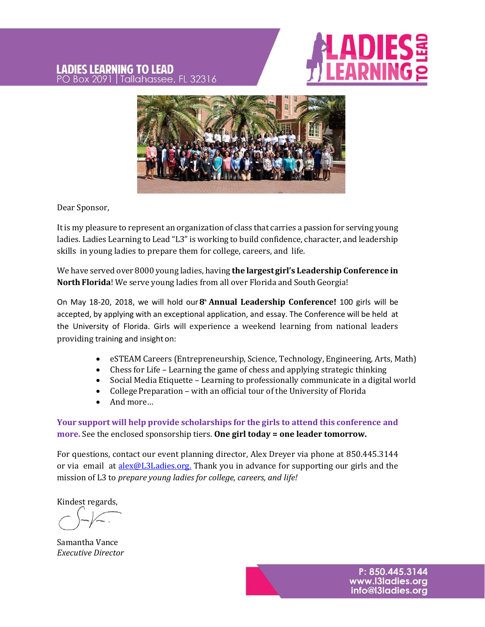#### **LADIES LEARNING TO LEAD** Tallahassee, FL 32316 PO Box 2091





Dear Sponsor,

It is my pleasure to represent an organization of class that carries a passion for serving young ladies. Ladies Learning to Lead "L3" is working to build confidence, character, and leadership skills in young ladies to prepare them for college, careers, and life.

We have served over 8000 young ladies, having **the largestgirl's Leadership Conference in North Florida**! We serve young ladies from all over Florida and South Georgia!

On May 18-20, 2018, we will hold our**8 <sup>h</sup> Annual Leadership Conference!** 100 girls will be accepted, by applying with an exceptional application, and essay. The Conference will be held at the University of Florida. Girls will experience a weekend learning from national leaders providing training and insight on:

- eSTEAM Careers (Entrepreneurship, Science, Technology, Engineering, Arts, Math)
- Chess for Life Learning the game of chess and applying strategic thinking
- Social Media Etiquette Learning to professionally communicate in a digital world
- College Preparation with an official tour of the University of Florida
- And more…

**Your support will help provide scholarships for the girls to attend this conference and more.** See the enclosed sponsorship tiers. **One girl today = one leader tomorrow.**

For questions, contact our event planning director, Alex Dreyer via phone at 850.445.3144 or via email at **alex@L3Ladies.org.** Thank you in advance for supporting our girls and the mission of L3 to *prepare young ladies for college, careers, and life!*

Kindest regards,

Samantha Vance *Executive Director*